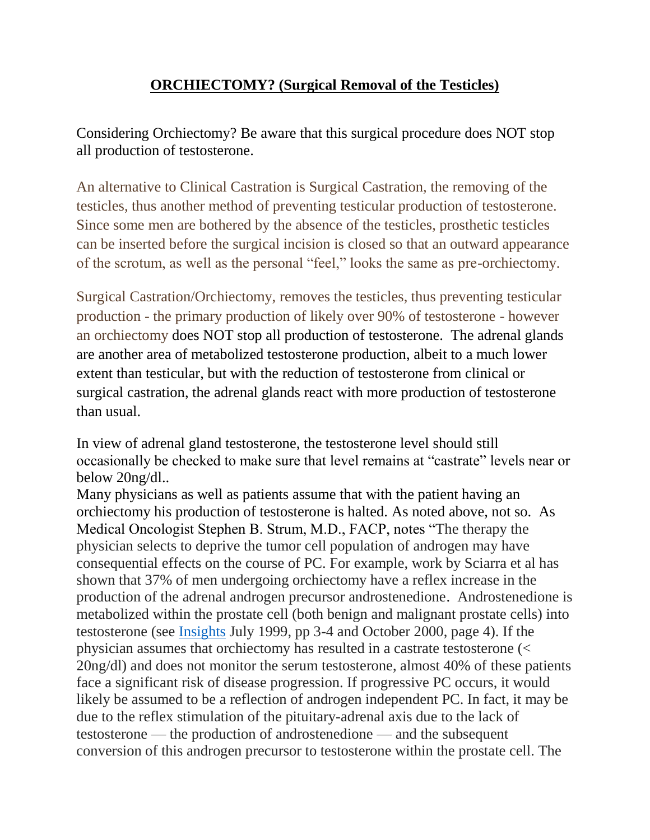## **ORCHIECTOMY? (Surgical Removal of the Testicles)**

Considering Orchiectomy? Be aware that this surgical procedure does NOT stop all production of testosterone.

An alternative to Clinical Castration is Surgical Castration, the removing of the testicles, thus another method of preventing testicular production of testosterone. Since some men are bothered by the absence of the testicles, prosthetic testicles can be inserted before the surgical incision is closed so that an outward appearance of the scrotum, as well as the personal "feel," looks the same as pre-orchiectomy.

Surgical Castration/Orchiectomy, removes the testicles, thus preventing testicular production - the primary production of likely over 90% of testosterone - however an orchiectomy does NOT stop all production of testosterone. The adrenal glands are another area of metabolized testosterone production, albeit to a much lower extent than testicular, but with the reduction of testosterone from clinical or surgical castration, the adrenal glands react with more production of testosterone than usual.

In view of adrenal gland testosterone, the testosterone level should still occasionally be checked to make sure that level remains at "castrate" levels near or below 20ng/dl..

Many physicians as well as patients assume that with the patient having an orchiectomy his production of testosterone is halted. As noted above, not so. As Medical Oncologist Stephen B. Strum, M.D., FACP, notes "The therapy the physician selects to deprive the tumor cell population of androgen may have consequential effects on the course of PC. For example, work by Sciarra et al has shown that 37% of men undergoing orchiectomy have a reflex increase in the production of the adrenal androgen precursor androstenedione. Androstenedione is metabolized within the prostate cell (both benign and malignant prostate cells) into testosterone (see [Insights](http://prostate-cancer.org/newsletters/) July 1999, pp 3-4 and October 2000, page 4). If the physician assumes that orchiectomy has resulted in a castrate testosterone (< 20ng/dl) and does not monitor the serum testosterone, almost 40% of these patients face a significant risk of disease progression. If progressive PC occurs, it would likely be assumed to be a reflection of androgen independent PC. In fact, it may be due to the reflex stimulation of the pituitary-adrenal axis due to the lack of testosterone — the production of androstenedione — and the subsequent conversion of this androgen precursor to testosterone within the prostate cell. The